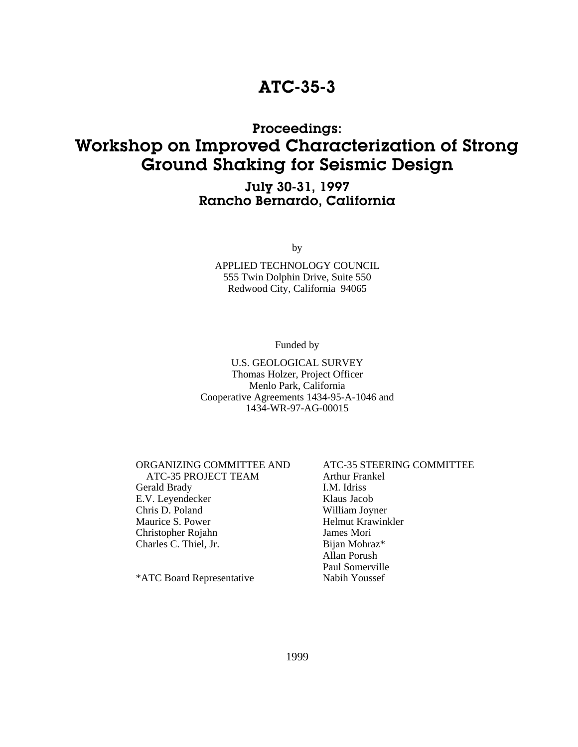## ATC-35-3

## Proceedings: Workshop on Improved Characterization of Strong Ground Shaking for Seismic Design

### July 30-31, 1997 Rancho Bernardo, California

by

APPLIED TECHNOLOGY COUNCIL 555 Twin Dolphin Drive, Suite 550 Redwood City, California 94065

Funded by

#### U.S. GEOLOGICAL SURVEY Thomas Holzer, Project Officer Menlo Park, California Cooperative Agreements 1434-95-A-1046 and 1434-WR-97-AG-00015

#### ORGANIZING COMMITTEE AND ATC-35 STEERING COMMITTEE

 ATC-35 PROJECT TEAM Arthur Frankel Gerald Brady **I.M. Idriss** E.V. Leyendecker Klaus Jacob Chris D. Poland William Joyner Maurice S. Power Helmut Krawinkler Christopher Rojahn James Mori Charles C. Thiel, Jr. Bijan Mohraz\*

\*ATC Board Representative Nabih Youssef

# Allan Porush Paul Somerville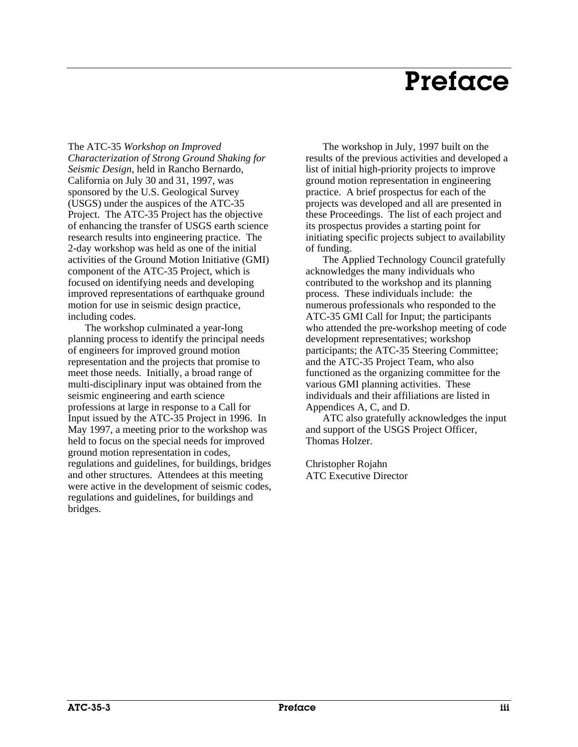# Preface

The ATC-35 *Workshop on Improved Characterization of Strong Ground Shaking for Seismic Design*, held in Rancho Bernardo, California on July 30 and 31, 1997, was sponsored by the U.S. Geological Survey (USGS) under the auspices of the ATC-35 Project. The ATC-35 Project has the objective of enhancing the transfer of USGS earth science research results into engineering practice. The 2-day workshop was held as one of the initial activities of the Ground Motion Initiative (GMI) component of the ATC-35 Project, which is focused on identifying needs and developing improved representations of earthquake ground motion for use in seismic design practice, including codes.

The workshop culminated a year-long planning process to identify the principal needs of engineers for improved ground motion representation and the projects that promise to meet those needs. Initially, a broad range of multi-disciplinary input was obtained from the seismic engineering and earth science professions at large in response to a Call for Input issued by the ATC-35 Project in 1996. In May 1997, a meeting prior to the workshop was held to focus on the special needs for improved ground motion representation in codes, regulations and guidelines, for buildings, bridges and other structures. Attendees at this meeting were active in the development of seismic codes, regulations and guidelines, for buildings and bridges.

The workshop in July, 1997 built on the results of the previous activities and developed a list of initial high-priority projects to improve ground motion representation in engineering practice. A brief prospectus for each of the projects was developed and all are presented in these Proceedings. The list of each project and its prospectus provides a starting point for initiating specific projects subject to availability of funding.

The Applied Technology Council gratefully acknowledges the many individuals who contributed to the workshop and its planning process. These individuals include: the numerous professionals who responded to the ATC-35 GMI Call for Input; the participants who attended the pre-workshop meeting of code development representatives; workshop participants; the ATC-35 Steering Committee; and the ATC-35 Project Team, who also functioned as the organizing committee for the various GMI planning activities. These individuals and their affiliations are listed in Appendices A, C, and D.

ATC also gratefully acknowledges the input and support of the USGS Project Officer, Thomas Holzer.

Christopher Rojahn ATC Executive Director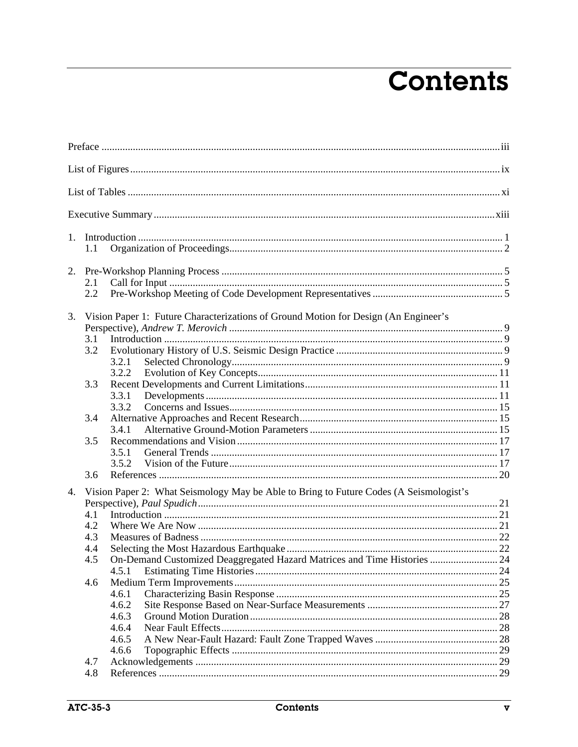# **Contents**

|    | 1.1                                                                                    |                                                                          |    |  |  |  |
|----|----------------------------------------------------------------------------------------|--------------------------------------------------------------------------|----|--|--|--|
| 2. |                                                                                        |                                                                          |    |  |  |  |
|    | 2.1                                                                                    |                                                                          |    |  |  |  |
|    | 2.2                                                                                    |                                                                          |    |  |  |  |
| 3. | Vision Paper 1: Future Characterizations of Ground Motion for Design (An Engineer's    |                                                                          |    |  |  |  |
|    |                                                                                        |                                                                          |    |  |  |  |
|    | 3.1                                                                                    |                                                                          |    |  |  |  |
|    | 3.2                                                                                    |                                                                          |    |  |  |  |
|    |                                                                                        | 3.2.1<br>3.2.2                                                           |    |  |  |  |
|    | 3.3                                                                                    |                                                                          |    |  |  |  |
|    |                                                                                        | 3.3.1                                                                    |    |  |  |  |
|    |                                                                                        | 3.3.2                                                                    |    |  |  |  |
|    | 3.4                                                                                    |                                                                          |    |  |  |  |
|    |                                                                                        | 3.4.1                                                                    |    |  |  |  |
|    | 3.5                                                                                    |                                                                          |    |  |  |  |
|    |                                                                                        | 3.5.1                                                                    |    |  |  |  |
|    |                                                                                        | 3.5.2                                                                    |    |  |  |  |
|    | 3.6                                                                                    |                                                                          |    |  |  |  |
| 4. | Vision Paper 2: What Seismology May be Able to Bring to Future Codes (A Seismologist's |                                                                          |    |  |  |  |
|    |                                                                                        |                                                                          |    |  |  |  |
|    | 4.1                                                                                    |                                                                          |    |  |  |  |
|    | 4.2                                                                                    |                                                                          |    |  |  |  |
|    | 4.3                                                                                    |                                                                          |    |  |  |  |
|    | 4.4<br>4.5                                                                             | On-Demand Customized Deaggregated Hazard Matrices and Time Histories  24 |    |  |  |  |
|    |                                                                                        | 4.5.1                                                                    |    |  |  |  |
|    | 4.6                                                                                    |                                                                          |    |  |  |  |
|    |                                                                                        | 4.6.1                                                                    |    |  |  |  |
|    |                                                                                        | 4.6.2                                                                    |    |  |  |  |
|    |                                                                                        | 4.6.3                                                                    | 28 |  |  |  |
|    |                                                                                        | 4.6.4                                                                    | 28 |  |  |  |
|    |                                                                                        | 4.6.5                                                                    |    |  |  |  |
|    |                                                                                        | 4.6.6                                                                    |    |  |  |  |
|    | 4.7                                                                                    |                                                                          |    |  |  |  |
|    | 4.8                                                                                    |                                                                          |    |  |  |  |